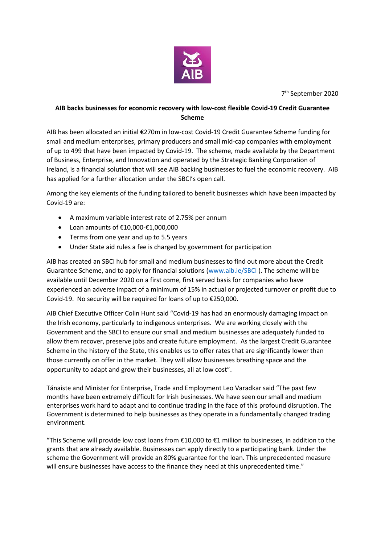

7 th September 2020

## **AIB backs businesses for economic recovery with low-cost flexible Covid-19 Credit Guarantee Scheme**

AIB has been allocated an initial €270m in low-cost Covid-19 Credit Guarantee Scheme funding for small and medium enterprises, primary producers and small mid-cap companies with employment of up to 499 that have been impacted by Covid-19. The scheme, made available by the Department of Business, Enterprise, and Innovation and operated by the Strategic Banking Corporation of Ireland, is a financial solution that will see AIB backing businesses to fuel the economic recovery. AIB has applied for a further allocation under the SBCI's open call.

Among the key elements of the funding tailored to benefit businesses which have been impacted by Covid-19 are:

- A maximum variable interest rate of 2.75% per annum
- Loan amounts of €10,000-€1,000,000
- Terms from one year and up to 5.5 years
- Under State aid rules a fee is charged by government for participation

AIB has created an SBCI hub for small and medium businesses to find out more about the Credit Guarantee Scheme, and to apply for financial solutions [\(www.aib.ie/SBCI](http://www.aib.ie/SBCI) ). The scheme will be available until December 2020 on a first come, first served basis for companies who have experienced an adverse impact of a minimum of 15% in actual or projected turnover or profit due to Covid-19. No security will be required for loans of up to €250,000.

AIB Chief Executive Officer Colin Hunt said "Covid-19 has had an enormously damaging impact on the Irish economy, particularly to indigenous enterprises. We are working closely with the Government and the SBCI to ensure our small and medium businesses are adequately funded to allow them recover, preserve jobs and create future employment. As the largest Credit Guarantee Scheme in the history of the State, this enables us to offer rates that are significantly lower than those currently on offer in the market. They will allow businesses breathing space and the opportunity to adapt and grow their businesses, all at low cost".

Tánaiste and Minister for Enterprise, Trade and Employment Leo Varadkar said "The past few months have been extremely difficult for Irish businesses. We have seen our small and medium enterprises work hard to adapt and to continue trading in the face of this profound disruption. The Government is determined to help businesses as they operate in a fundamentally changed trading environment.

"This Scheme will provide low cost loans from €10,000 to €1 million to businesses, in addition to the grants that are already available. Businesses can apply directly to a participating bank. Under the scheme the Government will provide an 80% guarantee for the loan. This unprecedented measure will ensure businesses have access to the finance they need at this unprecedented time."